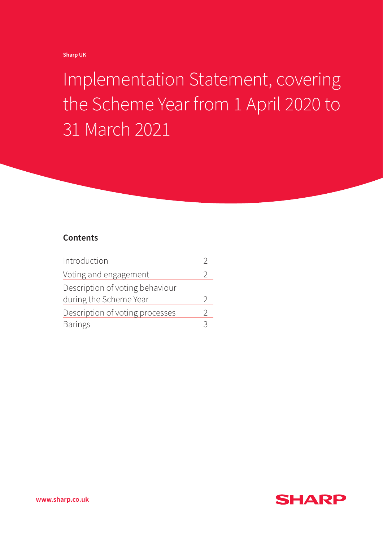**Sharp UK** 

Implementation Statement, covering the Scheme Year from 1 April 2020 to 31 March 2021

# **Contents**

| Introduction                    |               |
|---------------------------------|---------------|
| Voting and engagement           |               |
| Description of voting behaviour |               |
| during the Scheme Year          | C             |
| Description of voting processes | $\mathcal{D}$ |
| <b>Barings</b>                  | 2             |



**www.sharp.co.uk**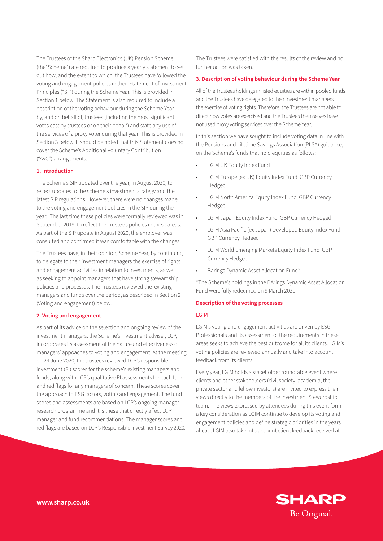The Trustees of the Sharp Electronics (UK) Pension Scheme (the"Scheme") are required to produce a yearly statement to set out how, and the extent to which, the Trustees have followed the voting and engagement policies in their Statement of Investment Principles ("SIP) during the Scheme Year. This is provided in Section 1 below. The Statement is also required to include a description of the voting behaviour during the Scheme Year by, and on behalf of, trustees (including the most significant votes cast by trustees or on their behalf) and state any use of the services of a proxy voter during that year. This is provided in Section 3 below. It should be noted that this Statement does not cover the Scheme's Additional Voluntary Contribution ("AVC") arrangements.

## **1. Introduction**

The Scheme's SIP updated over the year, in August 2020, to reflect updates to the scheme.s investment strategy and the latest SIP regulations. However, there were no changes made to the voting and engagement policies in the SIP during the year. The last time these policies were formally reviewed was in September 2019, to reflect the Trustee's policies in these areas. As part of the SIP update in August 2020, the employer was consulted and confirmed it was comfortable with the changes.

The Trustees have, in their opinion, Scheme Year, by continuing to delegate to their investment managers the exercise of rights and engagement activities in relation to investments, as well as seeking to appoint managers that have strong stewardship policies and processes. The Trustees reviewed the existing managers and funds over the period, as described in Section 2 (Voting and engagement) below.

## **2. Voting and engagement**

As part of its advice on the selection and ongoing review of the investment managers, the Scheme's investment adviser, LCP, incorporates its assessment of the nature and effectiveness of managers' appoaches to voting and engagement. At the meeting on 24 June 2020, the trustees reviewed LCP's responsible investment (RI) scores for the scheme's existing managers and funds, along with LCP's qualitative RI assessments for each fund and red flags for any managers of concern. These scores cover the approach to ESG factors, voting and engagement. The fund scores and assessments are based on LCP's ongoing manager research programme and it is these that directly affect LCP' manager and fund recommendations. The manager scores and red flags are based on LCP's Responsible Investment Survey 2020.

The Trustees were satisfied with the results of the review and no further action was taken.

### **3. Description of voting behaviour during the Scheme Year**

All of the Trustees holdings in listed equities are within pooled funds and the Trustees have delegated to their investment managers the exercise of voting rights. Therefore, the Trustees are not able to direct how votes are exercised and the Trustees themselves have not used proxy voting services over the Scheme Year.

In this section we have sought to include voting data in line with the Pensions and Lifetime Savings Association (PLSA) guidance, on the Scheme's funds that hold equities as follows:

- LGIM UK Equity Index Fund
- LGIM Europe (ex UK) Equity Index Fund GBP Currency Hedged
- LGIM North America Equity Index Fund GBP Currency Hedged
- LGIM Japan Equity Index Fund GBP Currency Hedged
- LGIM Asia Pacific (ex Japan) Developed Equity Index Fund GBP Currency Hedged
- LGIM World Emerging Markets Equity Index Fund GBP Currency Hedged
- Barings Dynamic Asset Allocation Fund\*

\*The Scheme's holdings in the BArings Dynamic Asset Allocation Fund were fully redeemed on 9 March 2021

## **Description of the voting processes**

#### LGIM

LGIM's voting and engagement activities are driven by ESG Professionals and its assessment of the requirements in these areas seeks to achieve the best outcome for all its clients. LGIM's voting policies are reviewed annually and take into account feedback from its clients.

Every year, LGIM holds a stakeholder roundtable event where clients and other stakeholders (civil society, academia, the private sector and fellow investors) are invited to express their views directly to the members of the Investment Stewardship team. The views expressed by attendees during this event form a key consideration as LGIM continue to develop its voting and engagement policies and define strategic priorities in the years ahead. LGIM also take into account client feedback received at

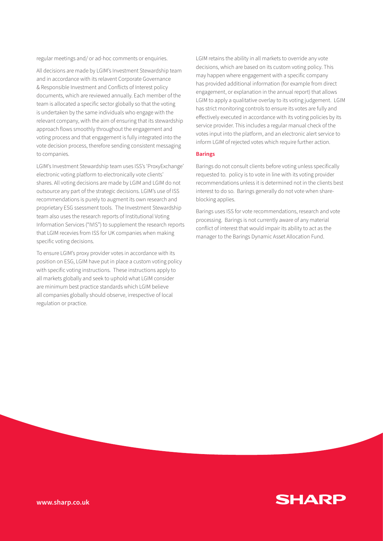regular meetings and/ or ad-hoc comments or enquiries.

All decisions are made by LGIM's Investment Stewardship team and in accordance with its relavent Corporate Governance & Responsible Investment and Conflicts of Interest policy documents, which are reviewed annually. Each member of the team is allocated a specific sector globally so that the voting is undertaken by the same individuals who engage with the relevant company, with the aim of ensuring that its stewardship approach flows smoothly throughout the engagement and voting process and that engagement is fully integrated into the vote decision process, therefore sending consistent messaging to companies.

LGIM's Investment Stewardship team uses ISS's 'ProxyExchange' electronic voting platform to electronically vote clients' shares. All voting decisions are made by LGIM and LGIM do not outsource any part of the strategic decisions. LGIM's use of ISS recommendations is purely to augment its own research and proprietary ESG ssessment tools. The Investment Stewardship team also uses the research reports of Institutional Voting Information Services ("IVIS") to supplement the research reports that LGIM recevies from ISS for UK companies when making specific voting decisions.

To ensure LGIM's proxy provider votes in accordance with its position on ESG, LGIM have put in place a custom voting policy with specific voting instructions. These instructions apply to all markets globally and seek to uphold what LGIM consider are minimum best practice standards which LGIM believe all companies globally should observe, irrespective of local regulation or practice.

LGIM retains the ability in all markets to override any vote decisions, which are based on its custom voting policy. This may happen where engagement with a specific company has provided additional information (for example from direct engagement, or explanation in the annual report) that allows LGIM to apply a qualitative overlay to its voting judgement. LGIM has strict monitoring controls to ensure its votes are fully and effectively executed in accordance with its voting policies by its service provider. This includes a regular manual check of the votes input into the platform, and an electronic alert service to inform LGIM of rejected votes which require further action.

#### **Barings**

Barings do not consult clients before voting unless specifically requested to. policy is to vote in line with its voting provider recommendations unless it is determined not in the clients best interest to do so. Barings generally do not vote when shareblocking applies.

Barings uses ISS for vote recommendations, research and vote processing. Barings is not currently aware of any material conflict of interest that would impair its ability to act as the manager to the Barings Dynamic Asset Allocation Fund.

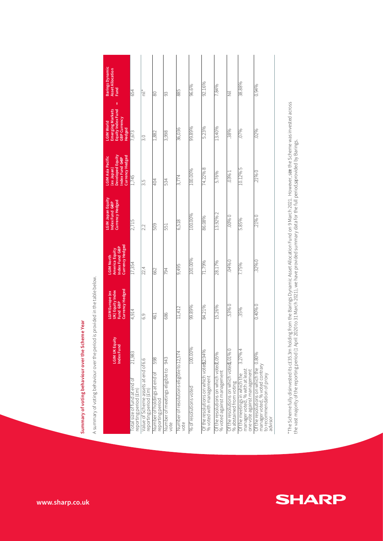|                                                                                                                   | <b>LGIM UK Equit</b><br><b>Index Fund</b> | Currency Hedged<br>UK) Equity Index<br>LGIM Europe (ex<br>Fund GBP | Currency Hedged<br>America Equity<br>Index Fund GBP<br><b>LGIM North</b> | LGIM Japan Equity<br>Currency Hedged<br>Index Fund GBP | (ex Japan)<br>Developed Equity<br>Currency Hedged<br>ndex Fund GBP<br><b>LGIM Asia Pacific</b> | <b>Emerging Markets</b><br>Equity Index Fund<br>GBP Currency<br><b>LGIM World</b><br>Hedged | Barings Dynamic<br><b>Asset Allocation</b><br>Fund |
|-------------------------------------------------------------------------------------------------------------------|-------------------------------------------|--------------------------------------------------------------------|--------------------------------------------------------------------------|--------------------------------------------------------|------------------------------------------------------------------------------------------------|---------------------------------------------------------------------------------------------|----------------------------------------------------|
| Total size of fund at end of<br>reporting period (£m)                                                             | 21,983                                    | 4,914                                                              | 17,354                                                                   | 2,715                                                  | 1,745                                                                                          | 7,673                                                                                       | 654                                                |
| Value of Scheme assets at end of 6.6<br>reporting period (£m)                                                     |                                           | G.G                                                                | 22.4                                                                     | $\overline{2.2}$                                       | $\frac{5}{3}$                                                                                  | 3.0                                                                                         | Ē                                                  |
| vumber of holdings at end of<br>eporting period                                                                   | 598                                       | 461                                                                | 662                                                                      | 505                                                    | 404                                                                                            | 1,882                                                                                       | 80                                                 |
| Number of meetings eligible to<br><b>jote</b>                                                                     | 943                                       | 686                                                                | 794                                                                      | 551                                                    | 534                                                                                            | 3,998                                                                                       | 93                                                 |
| Jumber of resolutions eligible to 12,574<br><b>vote</b>                                                           |                                           | 11,412                                                             | 9,495                                                                    | 6,518                                                  | 3,774                                                                                          | 36,036                                                                                      | <b>588</b>                                         |
| % of resolutions voted                                                                                            | 100.00%                                   | 99.89%                                                             | 100.00%                                                                  | 100.00%                                                | 100.00%                                                                                        | 99.89%                                                                                      | 96.6%                                              |
| of the resolutions on which vote \$2.94%<br>% voted with management                                               |                                           | 84.21%                                                             | 71.79%                                                                   | 86.08%                                                 | 8 %Z2 +                                                                                        | 5.23%                                                                                       | 92.16%                                             |
| Of the resolutions on which voted, 05%<br>% voted against management                                              |                                           | 15.26%                                                             | 28.17%                                                                   | 13.92%2                                                | 5.76%                                                                                          | 13.40%                                                                                      | 7.84%                                              |
| of the resolutions on which voted, 01% 0<br>% abstained from voting                                               |                                           | .53%0                                                              | 04%0                                                                     | 00%0                                                   | .03%                                                                                           | .38%                                                                                        | ž                                                  |
| one vote against management<br>Of the meetings in which the<br>manager voted, % with at least                     | 3.21%4                                    | 35%                                                                | 7.75%                                                                    | 5.85%                                                  | 10.12%5                                                                                        | .07%                                                                                        | 38.88%                                             |
| Of the resolutions on which the 0.80%<br>manager voted, % voted contrary<br>to recommendation of proxy<br>advisor |                                           | 0.40%0                                                             | .32%0                                                                    | .21%0                                                  | 0%07                                                                                           | .02%                                                                                        | 0.94%                                              |
|                                                                                                                   |                                           |                                                                    |                                                                          |                                                        |                                                                                                |                                                                                             |                                                    |

A summary of voting behaviour over the period is provided in the table below. A summary of voting behaviour over the period is provided in the table below.

**Summary of voting behaviour over the Scheme Year**

Summary of voting behaviour over the Scheme Year



**SHARP**